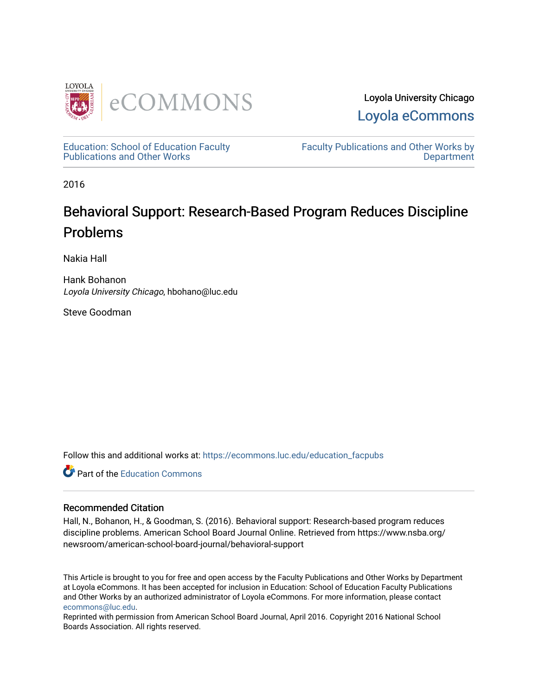

Loyola University Chicago [Loyola eCommons](https://ecommons.luc.edu/) 

[Education: School of Education Faculty](https://ecommons.luc.edu/education_facpubs)  [Publications and Other Works](https://ecommons.luc.edu/education_facpubs) 

[Faculty Publications and Other Works by](https://ecommons.luc.edu/faculty)  **Department** 

2016

# Behavioral Support: Research-Based Program Reduces Discipline Problems

Nakia Hall

Hank Bohanon Loyola University Chicago, hbohano@luc.edu

Steve Goodman

Follow this and additional works at: [https://ecommons.luc.edu/education\\_facpubs](https://ecommons.luc.edu/education_facpubs?utm_source=ecommons.luc.edu%2Feducation_facpubs%2F71&utm_medium=PDF&utm_campaign=PDFCoverPages) 

**C** Part of the [Education Commons](http://network.bepress.com/hgg/discipline/784?utm_source=ecommons.luc.edu%2Feducation_facpubs%2F71&utm_medium=PDF&utm_campaign=PDFCoverPages)

#### Recommended Citation

Hall, N., Bohanon, H., & Goodman, S. (2016). Behavioral support: Research-based program reduces discipline problems. American School Board Journal Online. Retrieved from https://www.nsba.org/ newsroom/american-school-board-journal/behavioral-support

This Article is brought to you for free and open access by the Faculty Publications and Other Works by Department at Loyola eCommons. It has been accepted for inclusion in Education: School of Education Faculty Publications and Other Works by an authorized administrator of Loyola eCommons. For more information, please contact [ecommons@luc.edu](mailto:ecommons@luc.edu).

Reprinted with permission from American School Board Journal, April 2016. Copyright 2016 National School Boards Association. All rights reserved.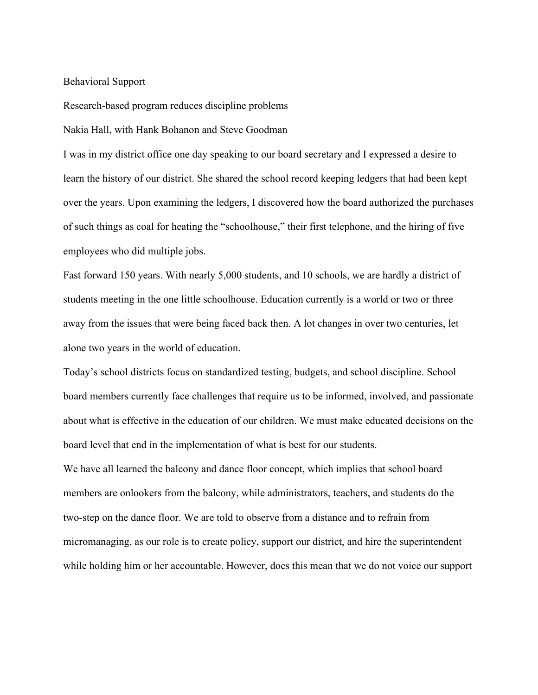# Behavioral Support

Research-based program reduces discipline problems

Nakia Hall, with Hank Bohanon and Steve Goodman

I was in my district office one day speaking to our board secretary and I expressed a desire to learn the history of our district. She shared the school record keeping ledgers that had been kept over the years. Upon examining the ledgers, I discovered how the board authorized the purchases of such things as coal for heating the "schoolhouse," their first telephone, and the hiring of five employees who did multiple jobs.

Fast forward 150 years. With nearly 5,000 students, and 10 schools, we are hardly a district of students meeting in the one little schoolhouse. Education currently is a world or two or three away from the issues that were being faced back then. A lot changes in over two centuries, let alone two years in the world of education.

Today's school districts focus on standardized testing, budgets, and school discipline. School board members currently face challenges that require us to be informed, involved, and passionate about what is effective in the education of our children. We must make educated decisions on the board level that end in the implementation of what is best for our students.

We have all learned the balcony and dance floor concept, which implies that school board members are onlookers from the balcony, while administrators, teachers, and students do the two-step on the dance floor. We are told to observe from a distance and to refrain from micromanaging, as our role is to create policy, support our district, and hire the superintendent while holding him or her accountable. However, does this mean that we do not voice our support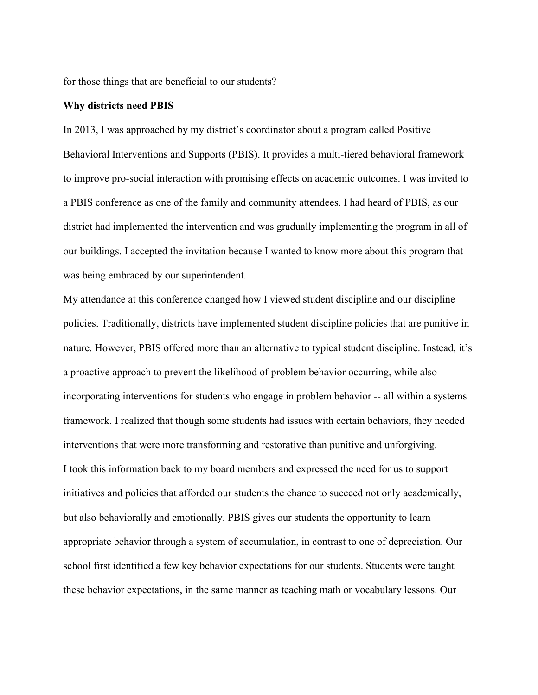for those things that are beneficial to our students?

### **Why districts need PBIS**

In 2013, I was approached by my district's coordinator about a program called Positive Behavioral Interventions and Supports (PBIS). It provides a multi-tiered behavioral framework to improve pro-social interaction with promising effects on academic outcomes. I was invited to a PBIS conference as one of the family and community attendees. I had heard of PBIS, as our district had implemented the intervention and was gradually implementing the program in all of our buildings. I accepted the invitation because I wanted to know more about this program that was being embraced by our superintendent.

My attendance at this conference changed how I viewed student discipline and our discipline policies. Traditionally, districts have implemented student discipline policies that are punitive in nature. However, PBIS offered more than an alternative to typical student discipline. Instead, it's a proactive approach to prevent the likelihood of problem behavior occurring, while also incorporating interventions for students who engage in problem behavior -- all within a systems framework. I realized that though some students had issues with certain behaviors, they needed interventions that were more transforming and restorative than punitive and unforgiving. I took this information back to my board members and expressed the need for us to support initiatives and policies that afforded our students the chance to succeed not only academically, but also behaviorally and emotionally. PBIS gives our students the opportunity to learn appropriate behavior through a system of accumulation, in contrast to one of depreciation. Our school first identified a few key behavior expectations for our students. Students were taught these behavior expectations, in the same manner as teaching math or vocabulary lessons. Our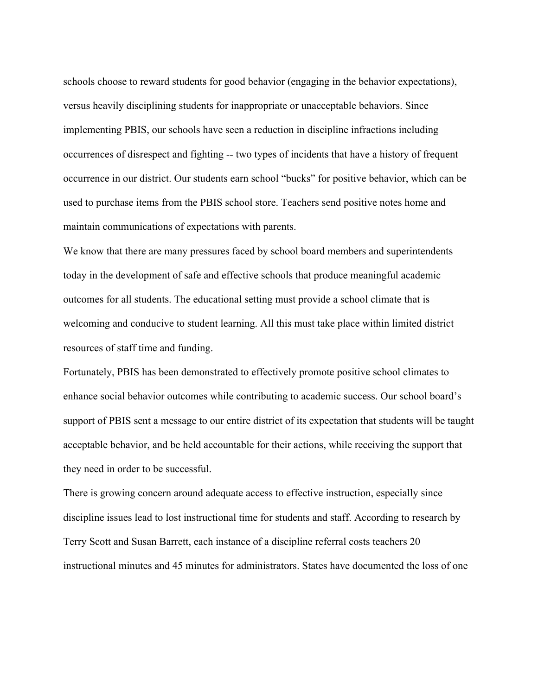schools choose to reward students for good behavior (engaging in the behavior expectations), versus heavily disciplining students for inappropriate or unacceptable behaviors. Since implementing PBIS, our schools have seen a reduction in discipline infractions including occurrences of disrespect and fighting -- two types of incidents that have a history of frequent occurrence in our district. Our students earn school "bucks" for positive behavior, which can be used to purchase items from the PBIS school store. Teachers send positive notes home and maintain communications of expectations with parents.

We know that there are many pressures faced by school board members and superintendents today in the development of safe and effective schools that produce meaningful academic outcomes for all students. The educational setting must provide a school climate that is welcoming and conducive to student learning. All this must take place within limited district resources of staff time and funding.

Fortunately, PBIS has been demonstrated to effectively promote positive school climates to enhance social behavior outcomes while contributing to academic success. Our school board's support of PBIS sent a message to our entire district of its expectation that students will be taught acceptable behavior, and be held accountable for their actions, while receiving the support that they need in order to be successful.

There is growing concern around adequate access to effective instruction, especially since discipline issues lead to lost instructional time for students and staff. According to research by Terry Scott and Susan Barrett, each instance of a discipline referral costs teachers 20 instructional minutes and 45 minutes for administrators. States have documented the loss of one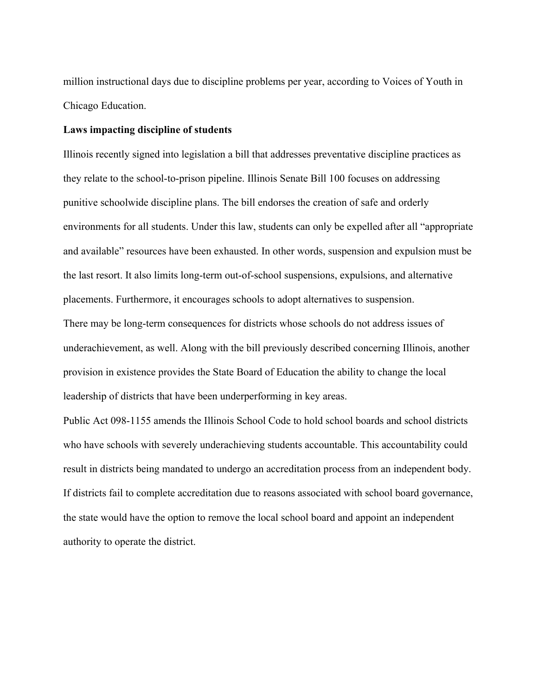million instructional days due to discipline problems per year, according to Voices of Youth in Chicago Education.

# **Laws impacting discipline of students**

Illinois recently signed into legislation a bill that addresses preventative discipline practices as they relate to the school-to-prison pipeline. Illinois Senate Bill 100 focuses on addressing punitive schoolwide discipline plans. The bill endorses the creation of safe and orderly environments for all students. Under this law, students can only be expelled after all "appropriate and available" resources have been exhausted. In other words, suspension and expulsion must be the last resort. It also limits long-term out-of-school suspensions, expulsions, and alternative placements. Furthermore, it encourages schools to adopt alternatives to suspension.

There may be long-term consequences for districts whose schools do not address issues of underachievement, as well. Along with the bill previously described concerning Illinois, another provision in existence provides the State Board of Education the ability to change the local leadership of districts that have been underperforming in key areas.

Public Act 098-1155 amends the Illinois School Code to hold school boards and school districts who have schools with severely underachieving students accountable. This accountability could result in districts being mandated to undergo an accreditation process from an independent body. If districts fail to complete accreditation due to reasons associated with school board governance, the state would have the option to remove the local school board and appoint an independent authority to operate the district.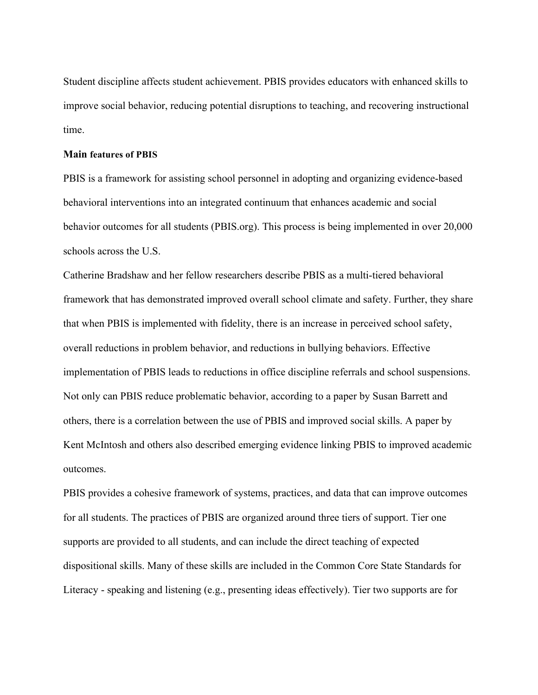Student discipline affects student achievement. PBIS provides educators with enhanced skills to improve social behavior, reducing potential disruptions to teaching, and recovering instructional time.

## **Main features of PBIS**

PBIS is a framework for assisting school personnel in adopting and organizing evidence-based behavioral interventions into an integrated continuum that enhances academic and social behavior outcomes for all students (PBIS.org). This process is being implemented in over 20,000 schools across the U.S.

Catherine Bradshaw and her fellow researchers describe PBIS as a multi-tiered behavioral framework that has demonstrated improved overall school climate and safety. Further, they share that when PBIS is implemented with fidelity, there is an increase in perceived school safety, overall reductions in problem behavior, and reductions in bullying behaviors. Effective implementation of PBIS leads to reductions in office discipline referrals and school suspensions. Not only can PBIS reduce problematic behavior, according to a paper by Susan Barrett and others, there is a correlation between the use of PBIS and improved social skills. A paper by Kent McIntosh and others also described emerging evidence linking PBIS to improved academic outcomes.

PBIS provides a cohesive framework of systems, practices, and data that can improve outcomes for all students. The practices of PBIS are organized around three tiers of support. Tier one supports are provided to all students, and can include the direct teaching of expected dispositional skills. Many of these skills are included in the Common Core State Standards for Literacy - speaking and listening (e.g., presenting ideas effectively). Tier two supports are for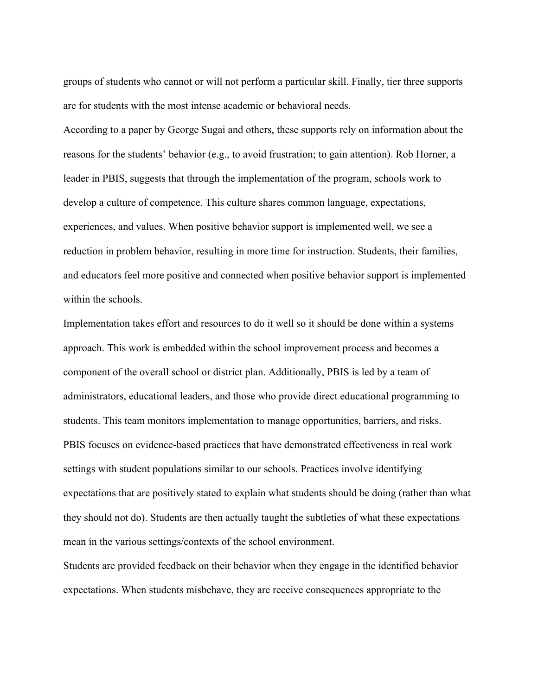groups of students who cannot or will not perform a particular skill. Finally, tier three supports are for students with the most intense academic or behavioral needs.

According to a paper by George Sugai and others, these supports rely on information about the reasons for the students' behavior (e.g., to avoid frustration; to gain attention). Rob Horner, a leader in PBIS, suggests that through the implementation of the program, schools work to develop a culture of competence. This culture shares common language, expectations, experiences, and values. When positive behavior support is implemented well, we see a reduction in problem behavior, resulting in more time for instruction. Students, their families, and educators feel more positive and connected when positive behavior support is implemented within the schools.

Implementation takes effort and resources to do it well so it should be done within a systems approach. This work is embedded within the school improvement process and becomes a component of the overall school or district plan. Additionally, PBIS is led by a team of administrators, educational leaders, and those who provide direct educational programming to students. This team monitors implementation to manage opportunities, barriers, and risks. PBIS focuses on evidence-based practices that have demonstrated effectiveness in real work settings with student populations similar to our schools. Practices involve identifying expectations that are positively stated to explain what students should be doing (rather than what they should not do). Students are then actually taught the subtleties of what these expectations mean in the various settings/contexts of the school environment.

Students are provided feedback on their behavior when they engage in the identified behavior expectations. When students misbehave, they are receive consequences appropriate to the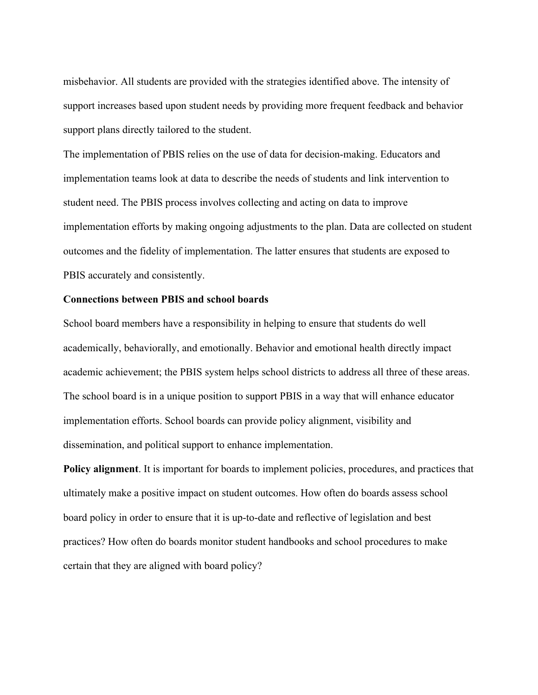misbehavior. All students are provided with the strategies identified above. The intensity of support increases based upon student needs by providing more frequent feedback and behavior support plans directly tailored to the student.

The implementation of PBIS relies on the use of data for decision-making. Educators and implementation teams look at data to describe the needs of students and link intervention to student need. The PBIS process involves collecting and acting on data to improve implementation efforts by making ongoing adjustments to the plan. Data are collected on student outcomes and the fidelity of implementation. The latter ensures that students are exposed to PBIS accurately and consistently.

# **Connections between PBIS and school boards**

School board members have a responsibility in helping to ensure that students do well academically, behaviorally, and emotionally. Behavior and emotional health directly impact academic achievement; the PBIS system helps school districts to address all three of these areas. The school board is in a unique position to support PBIS in a way that will enhance educator implementation efforts. School boards can provide policy alignment, visibility and dissemination, and political support to enhance implementation.

**Policy alignment**. It is important for boards to implement policies, procedures, and practices that ultimately make a positive impact on student outcomes. How often do boards assess school board policy in order to ensure that it is up-to-date and reflective of legislation and best practices? How often do boards monitor student handbooks and school procedures to make certain that they are aligned with board policy?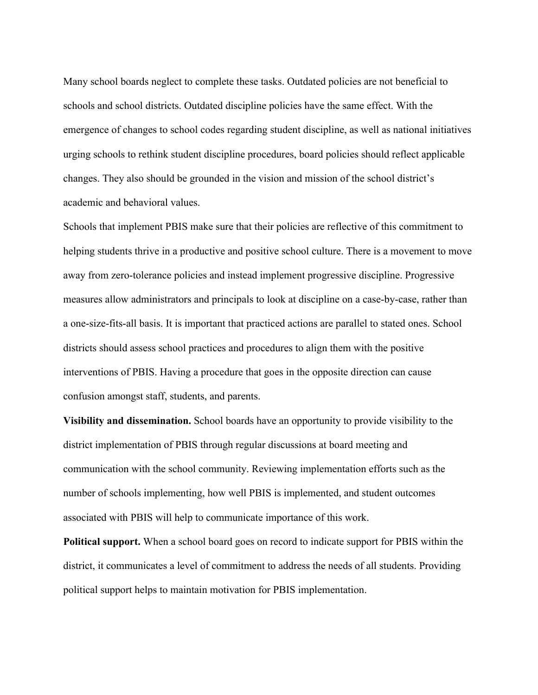Many school boards neglect to complete these tasks. Outdated policies are not beneficial to schools and school districts. Outdated discipline policies have the same effect. With the emergence of changes to school codes regarding student discipline, as well as national initiatives urging schools to rethink student discipline procedures, board policies should reflect applicable changes. They also should be grounded in the vision and mission of the school district's academic and behavioral values.

Schools that implement PBIS make sure that their policies are reflective of this commitment to helping students thrive in a productive and positive school culture. There is a movement to move away from zero-tolerance policies and instead implement progressive discipline. Progressive measures allow administrators and principals to look at discipline on a case-by-case, rather than a one-size-fits-all basis. It is important that practiced actions are parallel to stated ones. School districts should assess school practices and procedures to align them with the positive interventions of PBIS. Having a procedure that goes in the opposite direction can cause confusion amongst staff, students, and parents.

**Visibility and dissemination.** School boards have an opportunity to provide visibility to the district implementation of PBIS through regular discussions at board meeting and communication with the school community. Reviewing implementation efforts such as the number of schools implementing, how well PBIS is implemented, and student outcomes associated with PBIS will help to communicate importance of this work.

**Political support.** When a school board goes on record to indicate support for PBIS within the district, it communicates a level of commitment to address the needs of all students. Providing political support helps to maintain motivation for PBIS implementation.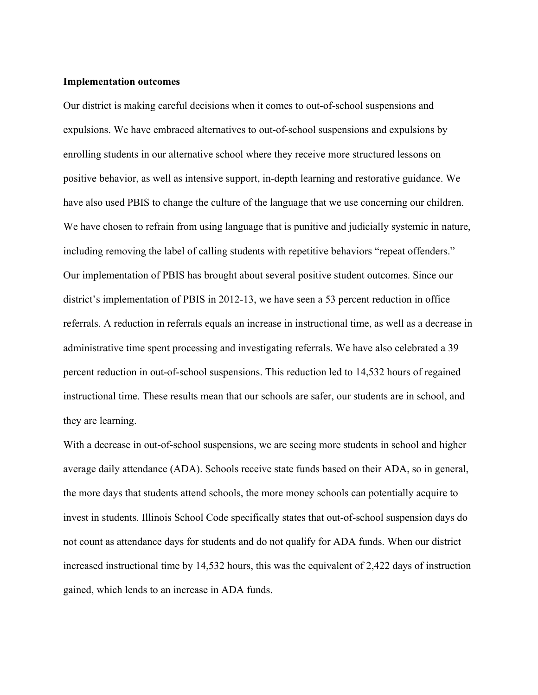# **Implementation outcomes**

Our district is making careful decisions when it comes to out-of-school suspensions and expulsions. We have embraced alternatives to out-of-school suspensions and expulsions by enrolling students in our alternative school where they receive more structured lessons on positive behavior, as well as intensive support, in-depth learning and restorative guidance. We have also used PBIS to change the culture of the language that we use concerning our children. We have chosen to refrain from using language that is punitive and judicially systemic in nature, including removing the label of calling students with repetitive behaviors "repeat offenders." Our implementation of PBIS has brought about several positive student outcomes. Since our district's implementation of PBIS in 2012-13, we have seen a 53 percent reduction in office referrals. A reduction in referrals equals an increase in instructional time, as well as a decrease in administrative time spent processing and investigating referrals. We have also celebrated a 39 percent reduction in out-of-school suspensions. This reduction led to 14,532 hours of regained instructional time. These results mean that our schools are safer, our students are in school, and they are learning.

With a decrease in out-of-school suspensions, we are seeing more students in school and higher average daily attendance (ADA). Schools receive state funds based on their ADA, so in general, the more days that students attend schools, the more money schools can potentially acquire to invest in students. Illinois School Code specifically states that out-of-school suspension days do not count as attendance days for students and do not qualify for ADA funds. When our district increased instructional time by 14,532 hours, this was the equivalent of 2,422 days of instruction gained, which lends to an increase in ADA funds.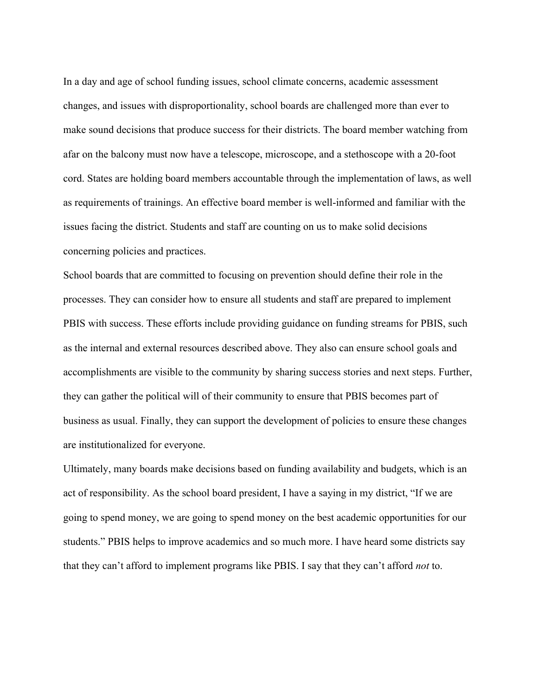In a day and age of school funding issues, school climate concerns, academic assessment changes, and issues with disproportionality, school boards are challenged more than ever to make sound decisions that produce success for their districts. The board member watching from afar on the balcony must now have a telescope, microscope, and a stethoscope with a 20-foot cord. States are holding board members accountable through the implementation of laws, as well as requirements of trainings. An effective board member is well-informed and familiar with the issues facing the district. Students and staff are counting on us to make solid decisions concerning policies and practices.

School boards that are committed to focusing on prevention should define their role in the processes. They can consider how to ensure all students and staff are prepared to implement PBIS with success. These efforts include providing guidance on funding streams for PBIS, such as the internal and external resources described above. They also can ensure school goals and accomplishments are visible to the community by sharing success stories and next steps. Further, they can gather the political will of their community to ensure that PBIS becomes part of business as usual. Finally, they can support the development of policies to ensure these changes are institutionalized for everyone.

Ultimately, many boards make decisions based on funding availability and budgets, which is an act of responsibility. As the school board president, I have a saying in my district, "If we are going to spend money, we are going to spend money on the best academic opportunities for our students." PBIS helps to improve academics and so much more. I have heard some districts say that they can't afford to implement programs like PBIS. I say that they can't afford *not* to.